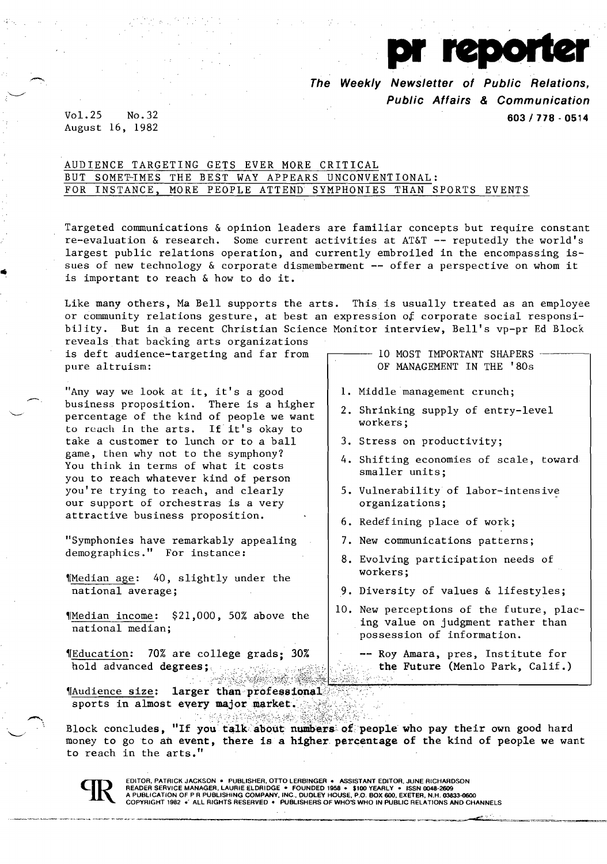pr reporter  $V$ o $1.25$  No. 32 603 / 778 - 0514

August 16, 1982

## AUDIENCE TARGETING GETS EVER MORE CRITICAL BUT SOMET-IMES THE BEST WAY APPEARS UNCONVENTIONAL: FOR INSTANCE, MORE PEOPLE ATTEND SYMPHONIES THAN SPORTS EVENTS

Targeted communications & opinion leaders are familiar concepts but require constant re-evaluation & research. Some current activities at AT&T -- reputedly the world's largest public relations operation, and currently embroiled in the encompassing issues of new technology & corporate dismemberment -- offer a perspective on whom it is important to reach & how to do it.

Like many others, Ma Bell supports the arts. This is usually treated as an employee or community relations gesture, at best an expression *ot* corporate social responsibiJity. But in a recent Christian Science Monitor interview, Bell's vp-pr Ed Block

reveals that backing arts organizations is deft audience-targeting and far from pure altruism:

"Any way we look at it, it's a good<br>business proposition. There is a higher percentage of the kind of people we want to reach in the arts. If it's okay to take a customer to lunch or to a ball game, then why not to the symphony? You think in terms of what it costs you to reach whatever kind of person you're trying to reach, and clearly our support of orchestras is a very attractive business proposition.

"Symphonies have remarkably appealing demographics." For instance:

'fMedian age: 40, slightly under the national average;

'IMedian income: \$21,000, 50% above the national median;

'IEducation: 70% are college grads; 30% hold advanced degrees; with string serves finite (Menlo Park, Calif.)

"|Audience size: larger than professional / ;?;::,. ":', sports in almost every major market.

Block concludes, "If you talk about numbers of people who pay their own good hard money to go to an event, there is a higher percentage of the kind of people we want to reach in the arts."

EDITOR, PATRICK JACKSON ● PUBLISHER, OTTO LERBINGER ● ASSISTANT EDITOR, JUNE RICHARDSON<br>READER SERVICE MANAGER, LAURIE ELDRIDGE ● FOUNDED 1958 ● \$100 YEARLY ● ISSN 0048-2609<br>A PUBLICATION OF P R PUBLISHING COMPANY, INC.,

10 MOST IMPORTANT SHAPERS OF MANAGEMENT IN THE '80s

- 
- 1. Middle management crunch;
- 2. Shrinking supply of entry-level workers;
- 3. Stress on productivity;
- 4. Shifting economies of scale, toward smaller units;
- 5. Vulnerability of labor-intensive organizations;
- 6. Redefining place of work;
- 7. New communications patterns;
- 8. Evolving participation needs of workers;
- 9. Diversity of values & lifestyles;
- 10. New perceptions of the future, placing value on judgment rather than possession of information.
	- -- Roy Amara, pres, Institute for

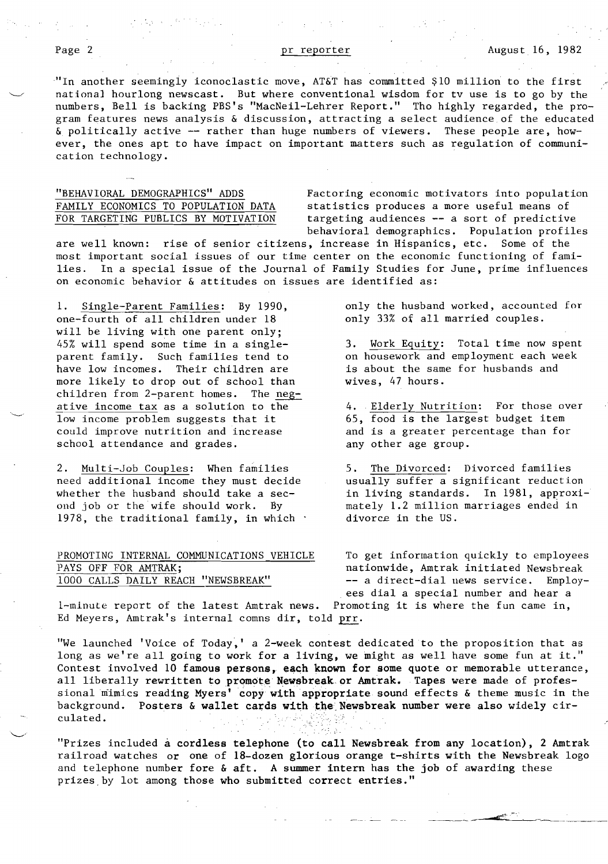"In another seemingly iconoclastic move, AT&T has committed \$10 million to the first national hourlong newscast. But where conventional wisdom for tv use is to go by the numbers, Bell is backing PBS's "MacNeil-Lehrer Report." Tho highly regarded, the program features news analysis & discussion, attracting a select audience of the educated & politically active -- rather than huge numbers of viewers. These people are, however, the ones apt to have impact on important matters such as regulation of communication technology.

"BEHAVIORAL DEMOGRAPHICS" ADDS Factoring economic motivators into population FAMILY ECONOMICS TO POPULATION DATA statistics produces a more useful means of  $FOR$  TARGETING PUBLICS BY MOTIVATION targeting audiences -- a sort of predictive targeting audiences  $--$  a sort of predictive behavioral demographics. Population profiles

are well known: rise of senior citizens, increase in Hispanics, etc. Some of the most important social issues of our time center on the economic functioning of fami-<br>lies. In a special issue of the Journal of Family Studies for June, prime influence In a special issue of the Journal of Family Studies for June, prime influences on economic behavior & attitudes on issues are identified as:

1. Single-Parent Families: By 1990, only the husband worked, accounted for one-fourth of all children under 18 only 33% of all married couples. one-fourth of all children under 18 will be living with one parent only;<br>45% will spend some time in a single-45% will spend some time in a single-<br>parent family. Such families tend to on housework and employment each week have low incomes. Their children are is about the same for husbands and more likely to drop out of school than wives. 47 hours. more likely to drop out of school than children from 2-parent homes. The negative income tax as a solution to the 4. Elderly Nutrition: For those over<br>low income problem suggests that it 65, food is the largest budget item Iow income problem suggests that it  $65$ , food is the largest budget item<br>could improve nutrition and increase and is a greater percentage than for school attendance and grades. The any other age group.

2. Multi-Job Couples: When families 5. The Divorced: Divorced families need additional income they must decide usually suffer a significant reduction whether the husband should take a sec-<br>
ond job or the wife should work. By an antely 1.2 million marriages ended in 1978, the traditional family, in which  $\cdot$ 

## PAYS OFF FOR AMTRAK; extending the mation of the mation of the mation of the mation of the mation of the mation of the mation of the mation of the mation of the mation of the mation of the mation of the mation of the matio

on housework and employment each week

and is a greater percentage than for

mately 1.2 million marriages ended in divorce in the US.

PROMOTING INTERNAL COMMUNICATIONS VEHICLE To get information quickly to employees 1000 CALLS DAILY REACH "NEWSBREAK" -- a direct-dial news service. Employees dial a special number and hear a

I-minute report of the latest Amtrak news. Promoting it is where the fun came in, Ed Meyers, Amtrak's internal comns dir, told prr.

"We launched 'Voice of Today,' a 2-week contest dedicated to the proposition that as long as we're all going to work for a living, we might as well have some fun at it." Contest involved 10 famous persons, each known for some quote or memorable utterance, all liberally rewritten to promote Newsbreak or Amtrak. Tapes were made of professional mimics reading Myers' copy with appropriate sound effects & theme music in the background. Posters & wallet cards with the Newsbreak number were also widely circulated.

"Prizes included a cordless telephone (to call Newsbreak from any location), 2 Amtrak railroad watches or one of IS-dozen glorious orange t-shirts with the Newsbreak logo and telephone number fore & aft. A summer intern has the job of awarding these prizes,by lot among those who submitted correct entries."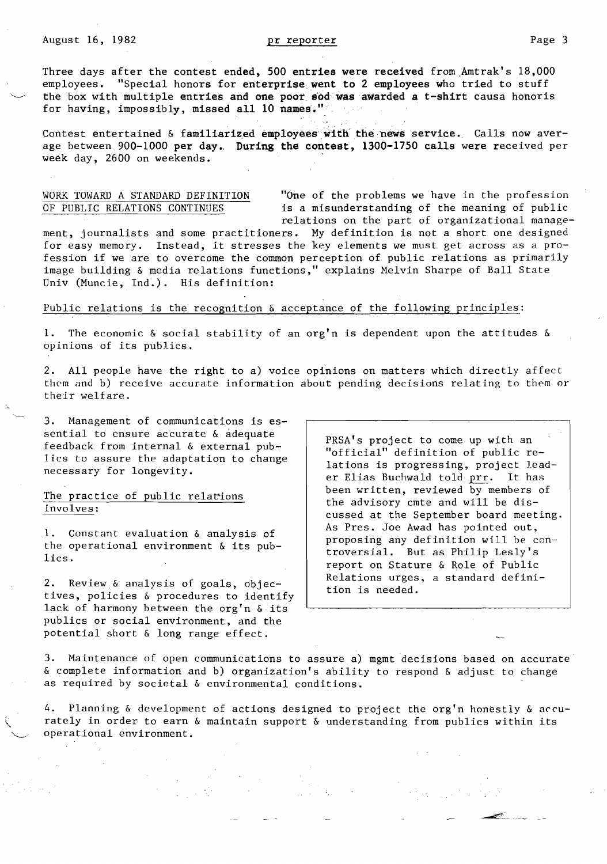Three days after the contest ended, 500 entries were received from Amtrak's 18,000 employees. "Special honors for enterprise went to 2 employees who tried to stuff the box with multiple entries and one poor sod was awarded a t-shirt causa honoris for having, impossibly, missed all 10 names."

Contest entertained & familiarized employees with the news service. Calls now aver-Contest entertained & familiarized employees with the news service. Calls now aver-<br>age between 900-1000 per day. During the contest, 1300-1750 calls were received per<br>week day, 2600 on weekends.

WORK TOWARD A STANDARD DEFINITION "One of the problems we have in the profession OF PUBLIC RELATIONS CONTINUES is a misunderstanding of the meaning of public relations on the part of organizational manage-

. . . .

ment, journalists and some practitioners. My definition is not a short one designed for easy memory. Instead, it stresses the key elements we must get across as a profession if we are to overcome the common perception of public relations as primarily image building & media relations functions," explains Melvin Sharpe of Ball State Univ (Muncie, Ind.). His definition:

### Public relations is the recognition & acceptance of the following principles:

1. The economic & social stability of an org'n is dependent upon the attitudes & opinions of its publics.

2. All people have the right to a) voice opinions on matters which directly affect them and b) receive accurate information about pending decisions relating to them or their welfare.

3. Management of communications is essential to ensure accurate & adequate feedback from internal & external publics to assure the adaptation to change necessary for longevity.

## The practice of public relations involves:

1. Constant evaluation & analysis of the operational environment & its publics.

2. Review & analysis of goals, objectives, policies & procedures to identify lack of harmony hetween the org'n & its publics or social environment, and the potential short & long range effect.

PRSA's project to come up with an "official" definition of public relations is progressing, project leader Elias Buchwald told prr. It has been written, reviewed by members of the advisory cmte and will be discussed at the September board meeting. As Pres. Joe Awad has pointed out, proposing any definition will he controversial. But as Philip Les1y's report on Stature & Role of Public Relations urges, a standard definition is needed.

3. Maintenance of open communications to assure a) mgmt decisions based on accurate & complete information and b) organization's ability to respond & adjust to change as required by societal & environmental conditions.

4. Planning & development of actions designed to project the org'n honestly & *accu*rately in order to earn & maintain support & understanding from publics within its operational environment.